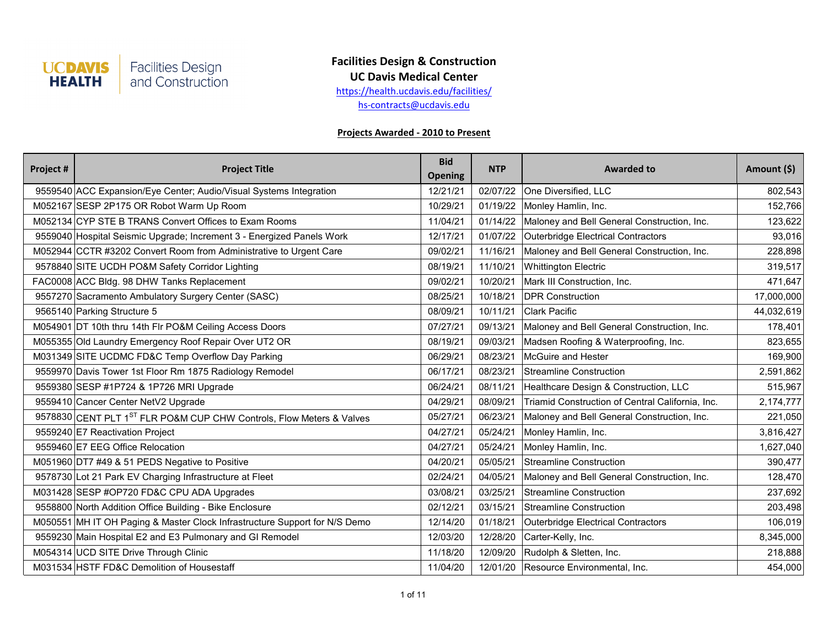

**UC Davis Medical Center**

[h](http://health.ucdavis.edu/facilities/)ttps://health.ucdavis.edu/facilities/

[h](mailto:hs-contracts@ucdavis.edu)s-contracts@ucdavis.edu

| Project # | <b>Project Title</b>                                                             | <b>Bid</b><br><b>Opening</b> | <b>NTP</b> | <b>Awarded to</b>                                | Amount (\$) |
|-----------|----------------------------------------------------------------------------------|------------------------------|------------|--------------------------------------------------|-------------|
|           | 9559540 ACC Expansion/Eye Center; Audio/Visual Systems Integration               | 12/21/21                     | 02/07/22   | One Diversified, LLC                             | 802,543     |
|           | M052167 SESP 2P175 OR Robot Warm Up Room                                         | 10/29/21                     | 01/19/22   | Monley Hamlin, Inc.                              | 152,766     |
|           | M052134 CYP STE B TRANS Convert Offices to Exam Rooms                            | 11/04/21                     | 01/14/22   | Maloney and Bell General Construction, Inc.      | 123,622     |
|           | 9559040 Hospital Seismic Upgrade; Increment 3 - Energized Panels Work            | 12/17/21                     | 01/07/22   | Outerbridge Electrical Contractors               | 93,016      |
|           | M052944 CCTR #3202 Convert Room from Administrative to Urgent Care               | 09/02/21                     | 11/16/21   | Maloney and Bell General Construction, Inc.      | 228,898     |
|           | 9578840 SITE UCDH PO&M Safety Corridor Lighting                                  | 08/19/21                     | 11/10/21   | <b>Whittington Electric</b>                      | 319,517     |
|           | FAC0008 ACC Bldg. 98 DHW Tanks Replacement                                       | 09/02/21                     | 10/20/21   | Mark III Construction, Inc.                      | 471,647     |
|           | 9557270 Sacramento Ambulatory Surgery Center (SASC)                              | 08/25/21                     | 10/18/21   | <b>DPR Construction</b>                          | 17,000,000  |
|           | 9565140 Parking Structure 5                                                      | 08/09/21                     | 10/11/21   | <b>Clark Pacific</b>                             | 44,032,619  |
|           | M054901 DT 10th thru 14th Flr PO&M Ceiling Access Doors                          | 07/27/21                     | 09/13/21   | Maloney and Bell General Construction, Inc.      | 178,401     |
|           | M055355 Old Laundry Emergency Roof Repair Over UT2 OR                            | 08/19/21                     | 09/03/21   | Madsen Roofing & Waterproofing, Inc.             | 823,655     |
|           | M031349 SITE UCDMC FD&C Temp Overflow Day Parking                                | 06/29/21                     | 08/23/21   | McGuire and Hester                               | 169,900     |
|           | 9559970 Davis Tower 1st Floor Rm 1875 Radiology Remodel                          | 06/17/21                     | 08/23/21   | Streamline Construction                          | 2,591,862   |
|           | 9559380 SESP #1P724 & 1P726 MRI Upgrade                                          | 06/24/21                     | 08/11/21   | Healthcare Design & Construction, LLC            | 515,967     |
|           | 9559410 Cancer Center NetV2 Upgrade                                              | 04/29/21                     | 08/09/21   | Triamid Construction of Central California, Inc. | 2,174,777   |
|           | 9578830 CENT PLT 1 <sup>ST</sup> FLR PO&M CUP CHW Controls, Flow Meters & Valves | 05/27/21                     | 06/23/21   | Maloney and Bell General Construction, Inc.      | 221,050     |
|           | 9559240 E7 Reactivation Project                                                  | 04/27/21                     | 05/24/21   | Monley Hamlin, Inc.                              | 3,816,427   |
|           | 9559460 E7 EEG Office Relocation                                                 | 04/27/21                     | 05/24/21   | Monley Hamlin, Inc.                              | 1,627,040   |
|           | M051960 DT7 #49 & 51 PEDS Negative to Positive                                   | 04/20/21                     | 05/05/21   | Streamline Construction                          | 390,477     |
|           | 9578730 Lot 21 Park EV Charging Infrastructure at Fleet                          | 02/24/21                     | 04/05/21   | Maloney and Bell General Construction, Inc.      | 128,470     |
|           | M031428 SESP #OP720 FD&C CPU ADA Upgrades                                        | 03/08/21                     | 03/25/21   | <b>Streamline Construction</b>                   | 237,692     |
|           | 9558800 North Addition Office Building - Bike Enclosure                          | 02/12/21                     | 03/15/21   | Streamline Construction                          | 203,498     |
|           | M050551 MH IT OH Paging & Master Clock Infrastructure Support for N/S Demo       | 12/14/20                     | 01/18/21   | Outerbridge Electrical Contractors               | 106,019     |
|           | 9559230 Main Hospital E2 and E3 Pulmonary and GI Remodel                         | 12/03/20                     | 12/28/20   | Carter-Kelly, Inc.                               | 8,345,000   |
|           | M054314 UCD SITE Drive Through Clinic                                            | 11/18/20                     | 12/09/20   | Rudolph & Sletten, Inc.                          | 218,888     |
|           | M031534 HSTF FD&C Demolition of Housestaff                                       | 11/04/20                     | 12/01/20   | Resource Environmental, Inc.                     | 454,000     |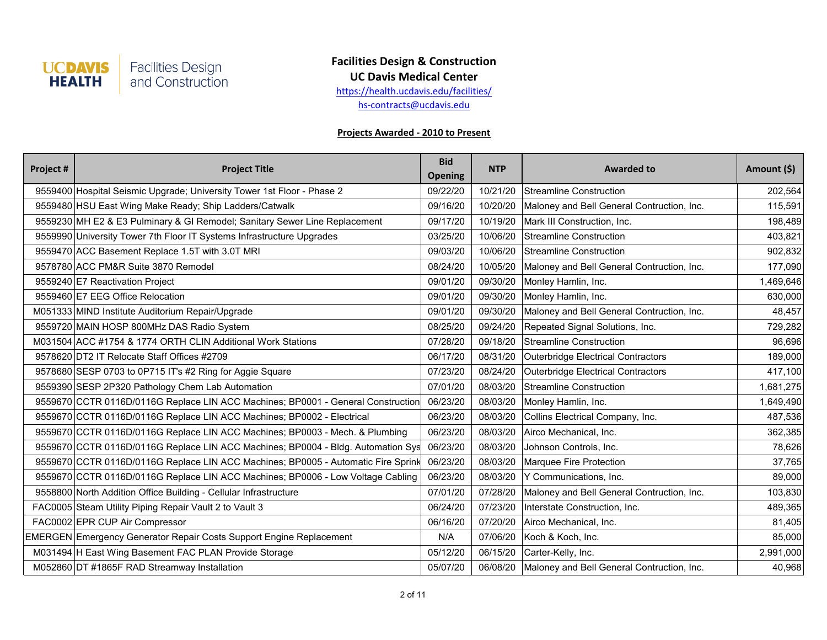

**UC Davis Medical Center**

[h](http://health.ucdavis.edu/facilities/)ttps://health.ucdavis.edu/facilities/

[h](mailto:hs-contracts@ucdavis.edu)s-contracts@ucdavis.edu

| Project # | <b>Project Title</b>                                                              | <b>Bid</b><br><b>Opening</b> | <b>NTP</b> | <b>Awarded to</b>                          | Amount (\$) |
|-----------|-----------------------------------------------------------------------------------|------------------------------|------------|--------------------------------------------|-------------|
|           | 9559400 Hospital Seismic Upgrade; University Tower 1st Floor - Phase 2            | 09/22/20                     | 10/21/20   | Streamline Construction                    | 202,564     |
|           | 9559480 HSU East Wing Make Ready; Ship Ladders/Catwalk                            | 09/16/20                     | 10/20/20   | Maloney and Bell General Contruction, Inc. | 115,591     |
|           | 9559230 MH E2 & E3 Pulminary & GI Remodel; Sanitary Sewer Line Replacement        | 09/17/20                     | 10/19/20   | Mark III Construction, Inc.                | 198,489     |
|           | 9559990 University Tower 7th Floor IT Systems Infrastructure Upgrades             | 03/25/20                     | 10/06/20   | Streamline Construction                    | 403,821     |
|           | 9559470 ACC Basement Replace 1.5T with 3.0T MRI                                   | 09/03/20                     | 10/06/20   | Streamline Construction                    | 902,832     |
|           | 9578780 ACC PM&R Suite 3870 Remodel                                               | 08/24/20                     | 10/05/20   | Maloney and Bell General Contruction, Inc. | 177,090     |
|           | 9559240 E7 Reactivation Project                                                   | 09/01/20                     | 09/30/20   | Monley Hamlin, Inc.                        | 1,469,646   |
|           | 9559460 E7 EEG Office Relocation                                                  | 09/01/20                     | 09/30/20   | Monley Hamlin, Inc.                        | 630,000     |
|           | M051333 MIND Institute Auditorium Repair/Upgrade                                  | 09/01/20                     | 09/30/20   | Maloney and Bell General Contruction, Inc. | 48,457      |
|           | 9559720 MAIN HOSP 800MHz DAS Radio System                                         | 08/25/20                     | 09/24/20   | Repeated Signal Solutions, Inc.            | 729,282     |
|           | M031504 ACC #1754 & 1774 ORTH CLIN Additional Work Stations                       | 07/28/20                     | 09/18/20   | Streamline Construction                    | 96,696      |
|           | 9578620 DT2 IT Relocate Staff Offices #2709                                       | 06/17/20                     | 08/31/20   | Outerbridge Electrical Contractors         | 189,000     |
|           | 9578680 SESP 0703 to 0P715 IT's #2 Ring for Aggie Square                          | 07/23/20                     | 08/24/20   | Outerbridge Electrical Contractors         | 417,100     |
|           | 9559390 SESP 2P320 Pathology Chem Lab Automation                                  | 07/01/20                     | 08/03/20   | Streamline Construction                    | 1,681,275   |
|           | 9559670 CCTR 0116D/0116G Replace LIN ACC Machines; BP0001 - General Construction  | 06/23/20                     | 08/03/20   | Monley Hamlin, Inc.                        | 1,649,490   |
|           | 9559670 CCTR 0116D/0116G Replace LIN ACC Machines; BP0002 - Electrical            | 06/23/20                     | 08/03/20   | Collins Electrical Company, Inc.           | 487,536     |
|           | 9559670 CCTR 0116D/0116G Replace LIN ACC Machines; BP0003 - Mech. & Plumbing      | 06/23/20                     | 08/03/20   | Airco Mechanical, Inc.                     | 362,385     |
|           | 9559670 CCTR 0116D/0116G Replace LIN ACC Machines; BP0004 - Bldg. Automation Sys  | 06/23/20                     | 08/03/20   | Johnson Controls, Inc.                     | 78,626      |
|           | 9559670 CCTR 0116D/0116G Replace LIN ACC Machines; BP0005 - Automatic Fire Sprink | 06/23/20                     | 08/03/20   | Marquee Fire Protection                    | 37,765      |
|           | 9559670 CCTR 0116D/0116G Replace LIN ACC Machines; BP0006 - Low Voltage Cabling   | 06/23/20                     | 08/03/20   | Y Communications, Inc.                     | 89,000      |
|           | 9558800 North Addition Office Building - Cellular Infrastructure                  | 07/01/20                     | 07/28/20   | Maloney and Bell General Contruction, Inc. | 103,830     |
|           | FAC0005 Steam Utility Piping Repair Vault 2 to Vault 3                            | 06/24/20                     | 07/23/20   | Interstate Construction, Inc.              | 489,365     |
|           | FAC0002 EPR CUP Air Compressor                                                    | 06/16/20                     | 07/20/20   | Airco Mechanical, Inc.                     | 81,405      |
|           | EMERGEN Emergency Generator Repair Costs Support Engine Replacement               | N/A                          | 07/06/20   | Koch & Koch, Inc.                          | 85,000      |
|           | M031494 H East Wing Basement FAC PLAN Provide Storage                             | 05/12/20                     | 06/15/20   | Carter-Kelly, Inc.                         | 2,991,000   |
|           | M052860 DT #1865F RAD Streamway Installation                                      | 05/07/20                     | 06/08/20   | Maloney and Bell General Contruction, Inc. | 40,968      |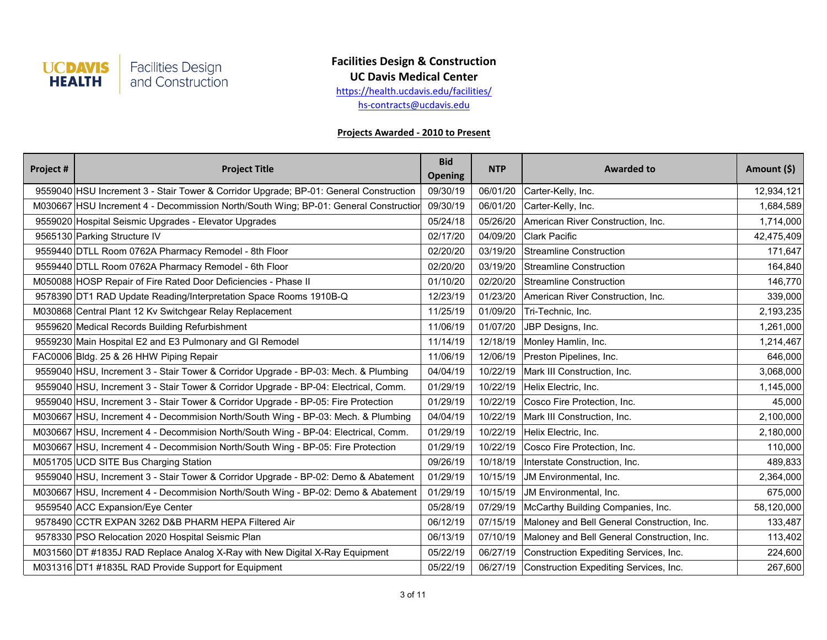

**UC Davis Medical Center**

[h](http://health.ucdavis.edu/facilities/)ttps://health.ucdavis.edu/facilities/

[h](mailto:hs-contracts@ucdavis.edu)s-contracts@ucdavis.edu

| Project # | <b>Project Title</b>                                                                  | <b>Bid</b><br><b>Opening</b> | <b>NTP</b> | <b>Awarded to</b>                               | Amount (\$) |
|-----------|---------------------------------------------------------------------------------------|------------------------------|------------|-------------------------------------------------|-------------|
|           | 9559040 HSU Increment 3 - Stair Tower & Corridor Upgrade; BP-01: General Construction | 09/30/19                     | 06/01/20   | Carter-Kelly, Inc.                              | 12,934,121  |
|           | M030667 HSU Increment 4 - Decommission North/South Wing; BP-01: General Construction  | 09/30/19                     | 06/01/20   | Carter-Kelly, Inc.                              | 1,684,589   |
|           | 9559020 Hospital Seismic Upgrades - Elevator Upgrades                                 | 05/24/18                     | 05/26/20   | American River Construction, Inc.               | 1,714,000   |
|           | 9565130 Parking Structure IV                                                          | 02/17/20                     | 04/09/20   | <b>Clark Pacific</b>                            | 42,475,409  |
|           | 9559440 DTLL Room 0762A Pharmacy Remodel - 8th Floor                                  | 02/20/20                     | 03/19/20   | Streamline Construction                         | 171,647     |
|           | 9559440 DTLL Room 0762A Pharmacy Remodel - 6th Floor                                  | 02/20/20                     | 03/19/20   | Streamline Construction                         | 164,840     |
|           | M050088 HOSP Repair of Fire Rated Door Deficiencies - Phase II                        | 01/10/20                     | 02/20/20   | Streamline Construction                         | 146,770     |
|           | 9578390 DT1 RAD Update Reading/Interpretation Space Rooms 1910B-Q                     | 12/23/19                     | 01/23/20   | American River Construction, Inc.               | 339,000     |
|           | M030868 Central Plant 12 Kv Switchgear Relay Replacement                              | 11/25/19                     | 01/09/20   | Tri-Technic, Inc.                               | 2,193,235   |
|           | 9559620 Medical Records Building Refurbishment                                        | 11/06/19                     | 01/07/20   | JBP Designs, Inc.                               | 1,261,000   |
|           | 9559230 Main Hospital E2 and E3 Pulmonary and GI Remodel                              | 11/14/19                     | 12/18/19   | Monley Hamlin, Inc.                             | 1,214,467   |
|           | FAC0006 Bldg. 25 & 26 HHW Piping Repair                                               | 11/06/19                     | 12/06/19   | Preston Pipelines, Inc.                         | 646,000     |
|           | 9559040 HSU, Increment 3 - Stair Tower & Corridor Upgrade - BP-03: Mech. & Plumbing   | 04/04/19                     | 10/22/19   | Mark III Construction, Inc.                     | 3,068,000   |
|           | 9559040 HSU, Increment 3 - Stair Tower & Corridor Upgrade - BP-04: Electrical, Comm.  | 01/29/19                     | 10/22/19   | Helix Electric, Inc.                            | 1,145,000   |
|           | 9559040 HSU, Increment 3 - Stair Tower & Corridor Upgrade - BP-05: Fire Protection    | 01/29/19                     | 10/22/19   | Cosco Fire Protection, Inc.                     | 45,000      |
|           | M030667 HSU, Increment 4 - Decommision North/South Wing - BP-03: Mech. & Plumbing     | 04/04/19                     | 10/22/19   | Mark III Construction, Inc.                     | 2,100,000   |
|           | M030667 HSU, Increment 4 - Decommision North/South Wing - BP-04: Electrical, Comm.    | 01/29/19                     | 10/22/19   | Helix Electric, Inc.                            | 2,180,000   |
|           | M030667   HSU, Increment 4 - Decommision North/South Wing - BP-05: Fire Protection    | 01/29/19                     | 10/22/19   | Cosco Fire Protection, Inc.                     | 110,000     |
|           | M051705 UCD SITE Bus Charging Station                                                 | 09/26/19                     | 10/18/19   | Interstate Construction, Inc.                   | 489,833     |
|           | 9559040 HSU, Increment 3 - Stair Tower & Corridor Upgrade - BP-02: Demo & Abatement   | 01/29/19                     | 10/15/19   | JM Environmental, Inc.                          | 2,364,000   |
|           | M030667 HSU, Increment 4 - Decommision North/South Wing - BP-02: Demo & Abatement     | 01/29/19                     | 10/15/19   | JM Environmental, Inc.                          | 675,000     |
|           | 9559540 ACC Expansion/Eye Center                                                      | 05/28/19                     | 07/29/19   | McCarthy Building Companies, Inc.               | 58,120,000  |
|           | 9578490 CCTR EXPAN 3262 D&B PHARM HEPA Filtered Air                                   | 06/12/19                     | 07/15/19   | Maloney and Bell General Construction, Inc.     | 133,487     |
|           | 9578330 PSO Relocation 2020 Hospital Seismic Plan                                     | 06/13/19                     | 07/10/19   | Maloney and Bell General Construction, Inc.     | 113,402     |
|           | M031560 DT #1835J RAD Replace Analog X-Ray with New Digital X-Ray Equipment           | 05/22/19                     | 06/27/19   | Construction Expediting Services, Inc.          | 224,600     |
|           | M031316 DT1 #1835L RAD Provide Support for Equipment                                  | 05/22/19                     |            | 06/27/19 Construction Expediting Services, Inc. | 267,600     |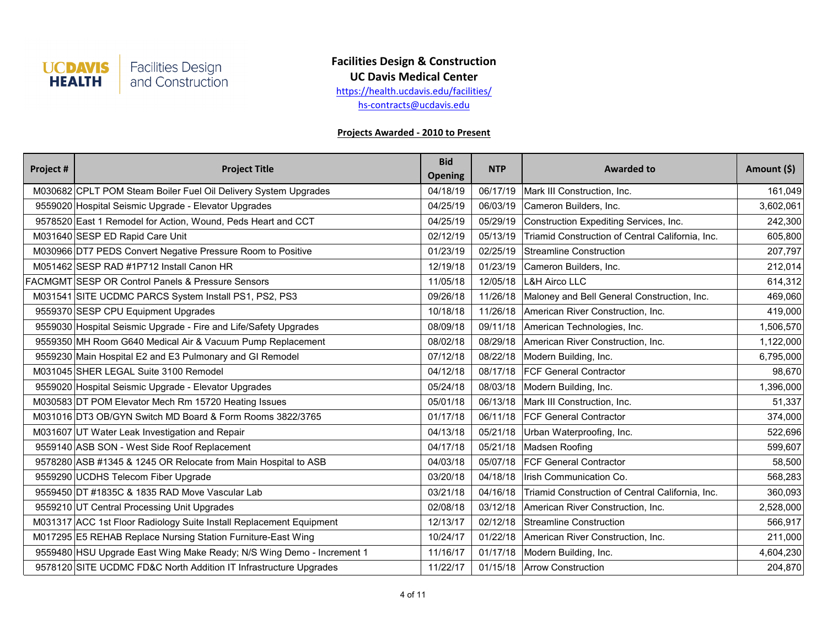

**UC Davis Medical Center**

[h](http://health.ucdavis.edu/facilities/)ttps://health.ucdavis.edu/facilities/

[h](mailto:hs-contracts@ucdavis.edu)s-contracts@ucdavis.edu

| Project # | <b>Project Title</b>                                                  | <b>Bid</b><br><b>Opening</b> | <b>NTP</b> | <b>Awarded to</b>                                | Amount (\$) |
|-----------|-----------------------------------------------------------------------|------------------------------|------------|--------------------------------------------------|-------------|
|           | M030682 CPLT POM Steam Boiler Fuel Oil Delivery System Upgrades       | 04/18/19                     | 06/17/19   | Mark III Construction, Inc.                      | 161,049     |
|           | 9559020 Hospital Seismic Upgrade - Elevator Upgrades                  | 04/25/19                     | 06/03/19   | Cameron Builders, Inc.                           | 3,602,061   |
|           | 9578520 East 1 Remodel for Action, Wound, Peds Heart and CCT          | 04/25/19                     | 05/29/19   | Construction Expediting Services, Inc.           | 242,300     |
|           | M031640 SESP ED Rapid Care Unit                                       | 02/12/19                     | 05/13/19   | Triamid Construction of Central California, Inc. | 605,800     |
|           | M030966 DT7 PEDS Convert Negative Pressure Room to Positive           | 01/23/19                     | 02/25/19   | Streamline Construction                          | 207,797     |
|           | M051462 SESP RAD #1P712 Install Canon HR                              | 12/19/18                     | 01/23/19   | Cameron Builders, Inc.                           | 212,014     |
|           | <b>FACMGMT SESP OR Control Panels &amp; Pressure Sensors</b>          | 11/05/18                     | 12/05/18   | L&H Airco LLC                                    | 614,312     |
|           | M031541 SITE UCDMC PARCS System Install PS1, PS2, PS3                 | 09/26/18                     | 11/26/18   | Maloney and Bell General Construction, Inc.      | 469,060     |
|           | 9559370 SESP CPU Equipment Upgrades                                   | 10/18/18                     | 11/26/18   | American River Construction, Inc.                | 419,000     |
|           | 9559030 Hospital Seismic Upgrade - Fire and Life/Safety Upgrades      | 08/09/18                     | 09/11/18   | American Technologies, Inc.                      | 1,506,570   |
|           | 9559350 MH Room G640 Medical Air & Vacuum Pump Replacement            | 08/02/18                     | 08/29/18   | American River Construction, Inc.                | 1,122,000   |
|           | 9559230 Main Hospital E2 and E3 Pulmonary and GI Remodel              | 07/12/18                     | 08/22/18   | Modern Building, Inc.                            | 6,795,000   |
|           | M031045 SHER LEGAL Suite 3100 Remodel                                 | 04/12/18                     |            | 08/17/18   FCF General Contractor                | 98,670      |
|           | 9559020 Hospital Seismic Upgrade - Elevator Upgrades                  | 05/24/18                     | 08/03/18   | Modern Building, Inc.                            | 1,396,000   |
|           | M030583 DT POM Elevator Mech Rm 15720 Heating Issues                  | 05/01/18                     | 06/13/18   | Mark III Construction, Inc.                      | 51,337      |
|           | M031016 DT3 OB/GYN Switch MD Board & Form Rooms 3822/3765             | 01/17/18                     | 06/11/18   | <b>IFCF General Contractor</b>                   | 374,000     |
|           | M031607 UT Water Leak Investigation and Repair                        | 04/13/18                     | 05/21/18   | Urban Waterproofing, Inc.                        | 522,696     |
|           | 9559140 ASB SON - West Side Roof Replacement                          | 04/17/18                     | 05/21/18   | Madsen Roofing                                   | 599,607     |
|           | 9578280 ASB #1345 & 1245 OR Relocate from Main Hospital to ASB        | 04/03/18                     | 05/07/18   | <b>FCF General Contractor</b>                    | 58,500      |
|           | 9559290 UCDHS Telecom Fiber Upgrade                                   | 03/20/18                     | 04/18/18   | Irish Communication Co.                          | 568,283     |
|           | 9559450 DT #1835C & 1835 RAD Move Vascular Lab                        | 03/21/18                     | 04/16/18   | Triamid Construction of Central California, Inc. | 360,093     |
|           | 9559210 UT Central Processing Unit Upgrades                           | 02/08/18                     | 03/12/18   | American River Construction, Inc.                | 2,528,000   |
|           | M031317 ACC 1st Floor Radiology Suite Install Replacement Equipment   | 12/13/17                     | 02/12/18   | Streamline Construction                          | 566,917     |
|           | M017295 E5 REHAB Replace Nursing Station Furniture-East Wing          | 10/24/17                     | 01/22/18   | American River Construction, Inc.                | 211,000     |
|           | 9559480 HSU Upgrade East Wing Make Ready; N/S Wing Demo - Increment 1 | 11/16/17                     | 01/17/18   | Modern Building, Inc.                            | 4,604,230   |
|           | 9578120 SITE UCDMC FD&C North Addition IT Infrastructure Upgrades     | 11/22/17                     |            | 01/15/18 Arrow Construction                      | 204,870     |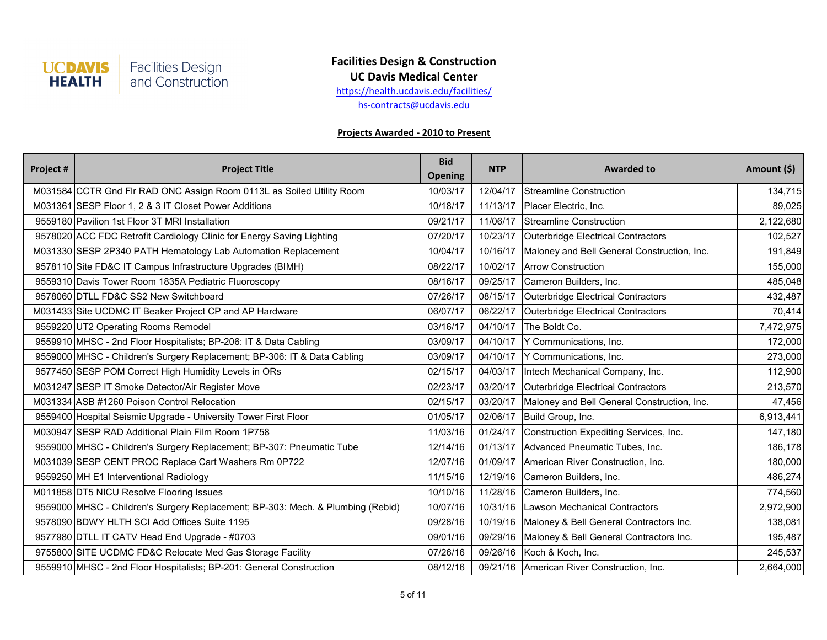

**UC Davis Medical Center**

[h](http://health.ucdavis.edu/facilities/)ttps://health.ucdavis.edu/facilities/

[h](mailto:hs-contracts@ucdavis.edu)s-contracts@ucdavis.edu

| Project # | <b>Project Title</b>                                                            | <b>Bid</b><br><b>Opening</b> | <b>NTP</b> | <b>Awarded to</b>                           | Amount (\$) |
|-----------|---------------------------------------------------------------------------------|------------------------------|------------|---------------------------------------------|-------------|
|           | M031584 CCTR Gnd Flr RAD ONC Assign Room 0113L as Soiled Utility Room           | 10/03/17                     | 12/04/17   | Streamline Construction                     | 134,715     |
|           | M031361 SESP Floor 1, 2 & 3 IT Closet Power Additions                           | 10/18/17                     | 11/13/17   | Placer Electric, Inc.                       | 89,025      |
|           | 9559180 Pavilion 1st Floor 3T MRI Installation                                  | 09/21/17                     | 11/06/17   | Streamline Construction                     | 2,122,680   |
|           | 9578020 ACC FDC Retrofit Cardiology Clinic for Energy Saving Lighting           | 07/20/17                     | 10/23/17   | Outerbridge Electrical Contractors          | 102,527     |
|           | M031330 SESP 2P340 PATH Hematology Lab Automation Replacement                   | 10/04/17                     | 10/16/17   | Maloney and Bell General Construction, Inc. | 191,849     |
|           | 9578110 Site FD&C IT Campus Infrastructure Upgrades (BIMH)                      | 08/22/17                     | 10/02/17   | <b>Arrow Construction</b>                   | 155,000     |
|           | 9559310 Davis Tower Room 1835A Pediatric Fluoroscopy                            | 08/16/17                     | 09/25/17   | Cameron Builders, Inc.                      | 485,048     |
|           | 9578060 DTLL FD&C SS2 New Switchboard                                           | 07/26/17                     | 08/15/17   | Outerbridge Electrical Contractors          | 432,487     |
|           | M031433 Site UCDMC IT Beaker Project CP and AP Hardware                         | 06/07/17                     | 06/22/17   | Outerbridge Electrical Contractors          | 70,414      |
|           | 9559220 UT2 Operating Rooms Remodel                                             | 03/16/17                     | 04/10/17   | The Boldt Co.                               | 7,472,975   |
|           | 9559910 MHSC - 2nd Floor Hospitalists; BP-206: IT & Data Cabling                | 03/09/17                     | 04/10/17   | Y Communications, Inc.                      | 172,000     |
|           | 9559000 MHSC - Children's Surgery Replacement; BP-306: IT & Data Cabling        | 03/09/17                     | 04/10/17   | Y Communications, Inc.                      | 273,000     |
|           | 9577450 SESP POM Correct High Humidity Levels in ORs                            | 02/15/17                     | 04/03/17   | Intech Mechanical Company, Inc.             | 112,900     |
|           | M031247 SESP IT Smoke Detector/Air Register Move                                | 02/23/17                     | 03/20/17   | Outerbridge Electrical Contractors          | 213,570     |
|           | M031334 ASB #1260 Poison Control Relocation                                     | 02/15/17                     | 03/20/17   | Maloney and Bell General Construction, Inc. | 47,456      |
|           | 9559400 Hospital Seismic Upgrade - University Tower First Floor                 | 01/05/17                     | 02/06/17   | Build Group, Inc.                           | 6,913,441   |
|           | M030947 SESP RAD Additional Plain Film Room 1P758                               | 11/03/16                     | 01/24/17   | Construction Expediting Services, Inc.      | 147,180     |
|           | 9559000 MHSC - Children's Surgery Replacement; BP-307: Pneumatic Tube           | 12/14/16                     | 01/13/17   | Advanced Pneumatic Tubes, Inc.              | 186,178     |
|           | M031039 SESP CENT PROC Replace Cart Washers Rm 0P722                            | 12/07/16                     | 01/09/17   | American River Construction, Inc.           | 180,000     |
|           | 9559250 MH E1 Interventional Radiology                                          | 11/15/16                     | 12/19/16   | Cameron Builders, Inc.                      | 486,274     |
|           | M011858 DT5 NICU Resolve Flooring Issues                                        | 10/10/16                     | 11/28/16   | Cameron Builders, Inc.                      | 774,560     |
|           | 9559000 MHSC - Children's Surgery Replacement; BP-303: Mech. & Plumbing (Rebid) | 10/07/16                     | 10/31/16   | Lawson Mechanical Contractors               | 2,972,900   |
|           | 9578090 BDWY HLTH SCI Add Offices Suite 1195                                    | 09/28/16                     | 10/19/16   | Maloney & Bell General Contractors Inc.     | 138,081     |
|           | 9577980 DTLL IT CATV Head End Upgrade - #0703                                   | 09/01/16                     | 09/29/16   | Maloney & Bell General Contractors Inc.     | 195,487     |
|           | 9755800 SITE UCDMC FD&C Relocate Med Gas Storage Facility                       | 07/26/16                     | 09/26/16   | Koch & Koch, Inc.                           | 245,537     |
|           | 9559910 MHSC - 2nd Floor Hospitalists; BP-201: General Construction             | 08/12/16                     |            | 09/21/16 American River Construction, Inc.  | 2,664,000   |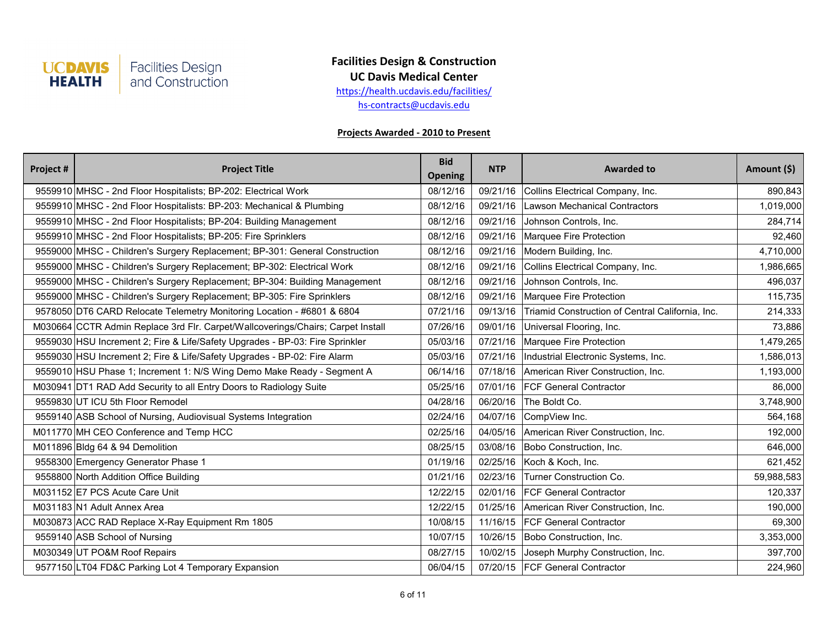

**UC Davis Medical Center**

[h](http://health.ucdavis.edu/facilities/)ttps://health.ucdavis.edu/facilities/

[h](mailto:hs-contracts@ucdavis.edu)s-contracts@ucdavis.edu

| Project # | <b>Project Title</b>                                                            | <b>Bid</b><br><b>Opening</b> | <b>NTP</b> | <b>Awarded to</b>                                | Amount (\$) |
|-----------|---------------------------------------------------------------------------------|------------------------------|------------|--------------------------------------------------|-------------|
|           | 9559910 MHSC - 2nd Floor Hospitalists; BP-202: Electrical Work                  | 08/12/16                     | 09/21/16   | Collins Electrical Company, Inc.                 | 890,843     |
|           | 9559910 MHSC - 2nd Floor Hospitalists: BP-203: Mechanical & Plumbing            | 08/12/16                     | 09/21/16   | <b>Lawson Mechanical Contractors</b>             | 1,019,000   |
|           | 9559910 MHSC - 2nd Floor Hospitalists; BP-204: Building Management              | 08/12/16                     | 09/21/16   | Johnson Controls, Inc.                           | 284,714     |
|           | 9559910 MHSC - 2nd Floor Hospitalists; BP-205: Fire Sprinklers                  | 08/12/16                     | 09/21/16   | Marquee Fire Protection                          | 92,460      |
|           | 9559000 MHSC - Children's Surgery Replacement; BP-301: General Construction     | 08/12/16                     | 09/21/16   | Modern Building, Inc.                            | 4,710,000   |
|           | 9559000 MHSC - Children's Surgery Replacement; BP-302: Electrical Work          | 08/12/16                     | 09/21/16   | Collins Electrical Company, Inc.                 | 1,986,665   |
|           | 9559000 MHSC - Children's Surgery Replacement; BP-304: Building Management      | 08/12/16                     | 09/21/16   | Johnson Controls, Inc.                           | 496,037     |
|           | 9559000 MHSC - Children's Surgery Replacement; BP-305: Fire Sprinklers          | 08/12/16                     | 09/21/16   | Marquee Fire Protection                          | 115,735     |
|           | 9578050 DT6 CARD Relocate Telemetry Monitoring Location - #6801 & 6804          | 07/21/16                     | 09/13/16   | Triamid Construction of Central California, Inc. | 214,333     |
|           | M030664 CCTR Admin Replace 3rd Flr. Carpet/Wallcoverings/Chairs; Carpet Install | 07/26/16                     | 09/01/16   | Universal Flooring, Inc.                         | 73,886      |
|           | 9559030 HSU Increment 2; Fire & Life/Safety Upgrades - BP-03: Fire Sprinkler    | 05/03/16                     | 07/21/16   | Marquee Fire Protection                          | 1,479,265   |
|           | 9559030 HSU Increment 2; Fire & Life/Safety Upgrades - BP-02: Fire Alarm        | 05/03/16                     | 07/21/16   | Industrial Electronic Systems, Inc.              | 1,586,013   |
|           | 9559010 HSU Phase 1; Increment 1: N/S Wing Demo Make Ready - Segment A          | 06/14/16                     | 07/18/16   | American River Construction, Inc.                | 1,193,000   |
|           | M030941 DT1 RAD Add Security to all Entry Doors to Radiology Suite              | 05/25/16                     | 07/01/16   | <b>FCF General Contractor</b>                    | 86,000      |
|           | 9559830 UT ICU 5th Floor Remodel                                                | 04/28/16                     | 06/20/16   | The Boldt Co.                                    | 3,748,900   |
|           | 9559140 ASB School of Nursing, Audiovisual Systems Integration                  | 02/24/16                     | 04/07/16   | CompView Inc.                                    | 564,168     |
|           | M011770 MH CEO Conference and Temp HCC                                          | 02/25/16                     | 04/05/16   | American River Construction, Inc.                | 192,000     |
|           | M011896 Bldg 64 & 94 Demolition                                                 | 08/25/15                     | 03/08/16   | Bobo Construction, Inc.                          | 646,000     |
|           | 9558300 Emergency Generator Phase 1                                             | 01/19/16                     | 02/25/16   | Koch & Koch, Inc.                                | 621,452     |
|           | 9558800 North Addition Office Building                                          | 01/21/16                     | 02/23/16   | Turner Construction Co.                          | 59,988,583  |
|           | M031152 E7 PCS Acute Care Unit                                                  | 12/22/15                     | 02/01/16   | <b>FCF General Contractor</b>                    | 120,337     |
|           | M031183 N1 Adult Annex Area                                                     | 12/22/15                     | 01/25/16   | American River Construction, Inc.                | 190,000     |
|           | M030873 ACC RAD Replace X-Ray Equipment Rm 1805                                 | 10/08/15                     | 11/16/15   | <b>FCF General Contractor</b>                    | 69,300      |
|           | 9559140 ASB School of Nursing                                                   | 10/07/15                     | 10/26/15   | Bobo Construction, Inc.                          | 3,353,000   |
|           | M030349 UT PO&M Roof Repairs                                                    | 08/27/15                     | 10/02/15   | Joseph Murphy Construction, Inc.                 | 397,700     |
|           | 9577150 LT04 FD&C Parking Lot 4 Temporary Expansion                             | 06/04/15                     |            | 07/20/15   FCF General Contractor                | 224,960     |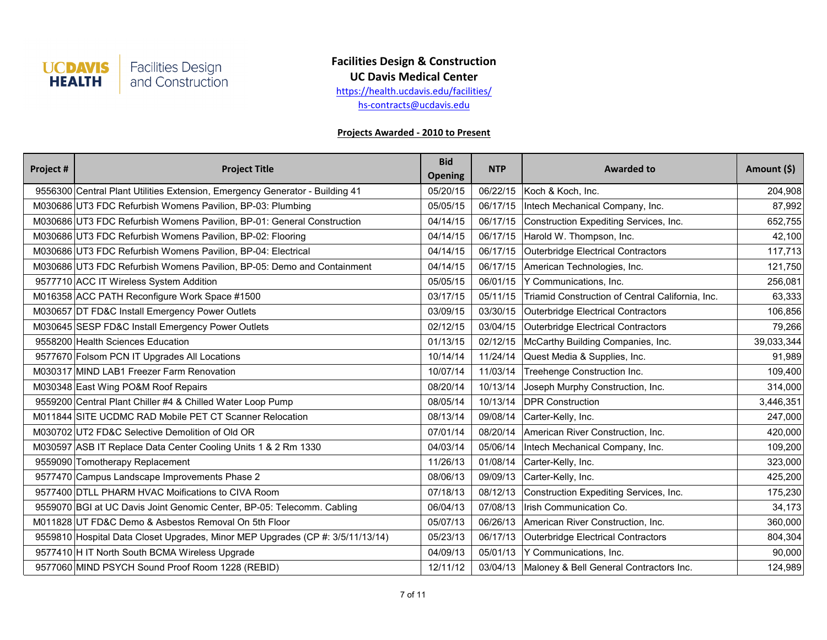

**UC Davis Medical Center**

[h](http://health.ucdavis.edu/facilities/)ttps://health.ucdavis.edu/facilities/

[h](mailto:hs-contracts@ucdavis.edu)s-contracts@ucdavis.edu

| Project # | <b>Project Title</b>                                                           | <b>Bid</b><br><b>Opening</b> | <b>NTP</b> | <b>Awarded to</b>                                | Amount (\$) |
|-----------|--------------------------------------------------------------------------------|------------------------------|------------|--------------------------------------------------|-------------|
|           | 9556300 Central Plant Utilities Extension, Emergency Generator - Building 41   | 05/20/15                     | 06/22/15   | Koch & Koch, Inc.                                | 204,908     |
|           | M030686 UT3 FDC Refurbish Womens Pavilion, BP-03: Plumbing                     | 05/05/15                     | 06/17/15   | Intech Mechanical Company, Inc.                  | 87,992      |
|           | M030686 UT3 FDC Refurbish Womens Pavilion, BP-01: General Construction         | 04/14/15                     | 06/17/15   | Construction Expediting Services, Inc.           | 652,755     |
|           | M030686 UT3 FDC Refurbish Womens Pavilion, BP-02: Flooring                     | 04/14/15                     | 06/17/15   | Harold W. Thompson, Inc.                         | 42,100      |
|           | M030686 UT3 FDC Refurbish Womens Pavilion, BP-04: Electrical                   | 04/14/15                     | 06/17/15   | Outerbridge Electrical Contractors               | 117,713     |
|           | M030686 UT3 FDC Refurbish Womens Pavilion, BP-05: Demo and Containment         | 04/14/15                     | 06/17/15   | American Technologies, Inc.                      | 121,750     |
|           | 9577710 ACC IT Wireless System Addition                                        | 05/05/15                     | 06/01/15   | Y Communications, Inc.                           | 256,081     |
|           | M016358 ACC PATH Reconfigure Work Space #1500                                  | 03/17/15                     | 05/11/15   | Triamid Construction of Central California, Inc. | 63,333      |
|           | M030657 DT FD&C Install Emergency Power Outlets                                | 03/09/15                     | 03/30/15   | Outerbridge Electrical Contractors               | 106,856     |
|           | M030645 SESP FD&C Install Emergency Power Outlets                              | 02/12/15                     | 03/04/15   | Outerbridge Electrical Contractors               | 79,266      |
|           | 9558200 Health Sciences Education                                              | 01/13/15                     | 02/12/15   | McCarthy Building Companies, Inc.                | 39,033,344  |
|           | 9577670 Folsom PCN IT Upgrades All Locations                                   | 10/14/14                     | 11/24/14   | Quest Media & Supplies, Inc.                     | 91,989      |
|           | M030317 MIND LAB1 Freezer Farm Renovation                                      | 10/07/14                     | 11/03/14   | Treehenge Construction Inc.                      | 109,400     |
|           | M030348 East Wing PO&M Roof Repairs                                            | 08/20/14                     | 10/13/14   | Joseph Murphy Construction, Inc.                 | 314,000     |
|           | 9559200 Central Plant Chiller #4 & Chilled Water Loop Pump                     | 08/05/14                     | 10/13/14   | <b>DPR Construction</b>                          | 3,446,351   |
|           | M011844 SITE UCDMC RAD Mobile PET CT Scanner Relocation                        | 08/13/14                     | 09/08/14   | Carter-Kelly, Inc.                               | 247,000     |
|           | M030702 UT2 FD&C Selective Demolition of Old OR                                | 07/01/14                     | 08/20/14   | American River Construction, Inc.                | 420,000     |
|           | M030597 ASB IT Replace Data Center Cooling Units 1 & 2 Rm 1330                 | 04/03/14                     | 05/06/14   | Intech Mechanical Company, Inc.                  | 109,200     |
|           | 9559090 Tomotherapy Replacement                                                | 11/26/13                     | 01/08/14   | Carter-Kelly, Inc.                               | 323,000     |
|           | 9577470 Campus Landscape Improvements Phase 2                                  | 08/06/13                     | 09/09/13   | Carter-Kelly, Inc.                               | 425,200     |
|           | 9577400 DTLL PHARM HVAC Moifications to CIVA Room                              | 07/18/13                     | 08/12/13   | Construction Expediting Services, Inc.           | 175,230     |
|           | 9559070 BGI at UC Davis Joint Genomic Center, BP-05: Telecomm. Cabling         | 06/04/13                     | 07/08/13   | Irish Communication Co.                          | 34,173      |
|           | M011828 UT FD&C Demo & Asbestos Removal On 5th Floor                           | 05/07/13                     | 06/26/13   | American River Construction, Inc.                | 360,000     |
|           | 9559810 Hospital Data Closet Upgrades, Minor MEP Upgrades (CP #: 3/5/11/13/14) | 05/23/13                     | 06/17/13   | Outerbridge Electrical Contractors               | 804,304     |
|           | 9577410 H IT North South BCMA Wireless Upgrade                                 | 04/09/13                     | 05/01/13   | Y Communications, Inc.                           | 90,000      |
|           | 9577060 MIND PSYCH Sound Proof Room 1228 (REBID)                               | 12/11/12                     |            | 03/04/13 Maloney & Bell General Contractors Inc. | 124,989     |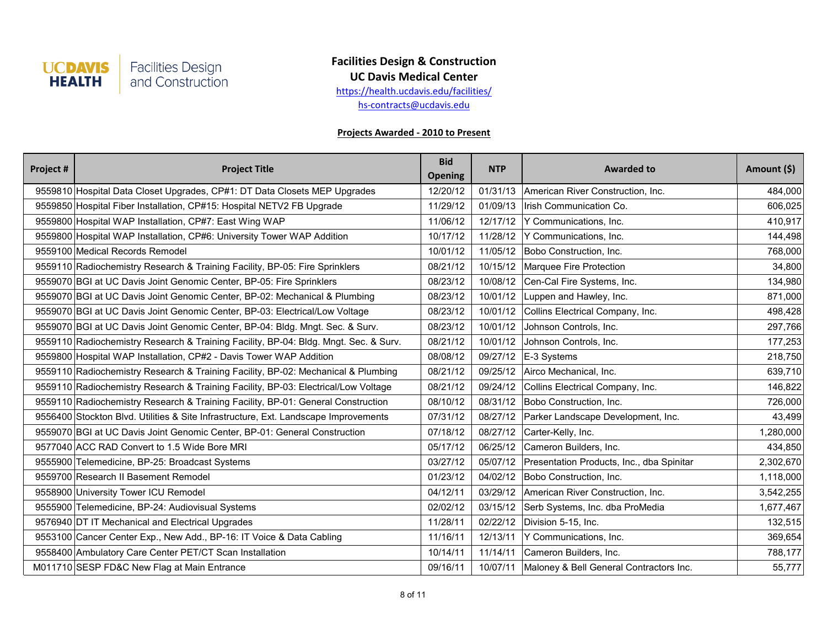

**UC Davis Medical Center**

[h](http://health.ucdavis.edu/facilities/)ttps://health.ucdavis.edu/facilities/

[h](mailto:hs-contracts@ucdavis.edu)s-contracts@ucdavis.edu

| Project # | <b>Project Title</b>                                                                 | <b>Bid</b><br><b>Opening</b> | <b>NTP</b> | <b>Awarded to</b>                                | Amount (\$) |
|-----------|--------------------------------------------------------------------------------------|------------------------------|------------|--------------------------------------------------|-------------|
|           | 9559810 Hospital Data Closet Upgrades, CP#1: DT Data Closets MEP Upgrades            | 12/20/12                     | 01/31/13   | American River Construction, Inc.                | 484,000     |
|           | 9559850 Hospital Fiber Installation, CP#15: Hospital NETV2 FB Upgrade                | 11/29/12                     | 01/09/13   | Irish Communication Co.                          | 606,025     |
|           | 9559800 Hospital WAP Installation, CP#7: East Wing WAP                               | 11/06/12                     | 12/17/12   | Y Communications, Inc.                           | 410,917     |
|           | 9559800 Hospital WAP Installation, CP#6: University Tower WAP Addition               | 10/17/12                     | 11/28/12   | Y Communications, Inc.                           | 144,498     |
|           | 9559100 Medical Records Remodel                                                      | 10/01/12                     | 11/05/12   | Bobo Construction, Inc.                          | 768,000     |
|           | 9559110 Radiochemistry Research & Training Facility, BP-05: Fire Sprinklers          | 08/21/12                     | 10/15/12   | Marquee Fire Protection                          | 34,800      |
|           | 9559070 BGI at UC Davis Joint Genomic Center, BP-05: Fire Sprinklers                 | 08/23/12                     | 10/08/12   | Cen-Cal Fire Systems, Inc.                       | 134,980     |
|           | 9559070 BGI at UC Davis Joint Genomic Center, BP-02: Mechanical & Plumbing           | 08/23/12                     | 10/01/12   | Luppen and Hawley, Inc.                          | 871,000     |
|           | 9559070 BGI at UC Davis Joint Genomic Center, BP-03: Electrical/Low Voltage          | 08/23/12                     | 10/01/12   | Collins Electrical Company, Inc.                 | 498,428     |
|           | 9559070 BGI at UC Davis Joint Genomic Center, BP-04: Bldg. Mngt. Sec. & Surv.        | 08/23/12                     | 10/01/12   | Johnson Controls, Inc.                           | 297,766     |
|           | 9559110 Radiochemistry Research & Training Facility, BP-04: Bldg. Mngt. Sec. & Surv. | 08/21/12                     | 10/01/12   | Johnson Controls, Inc.                           | 177,253     |
|           | 9559800 Hospital WAP Installation, CP#2 - Davis Tower WAP Addition                   | 08/08/12                     | 09/27/12   | $E-3$ Systems                                    | 218,750     |
|           | 9559110 Radiochemistry Research & Training Facility, BP-02: Mechanical & Plumbing    | 08/21/12                     | 09/25/12   | Airco Mechanical, Inc.                           | 639,710     |
|           | 9559110 Radiochemistry Research & Training Facility, BP-03: Electrical/Low Voltage   | 08/21/12                     | 09/24/12   | Collins Electrical Company, Inc.                 | 146,822     |
|           | 9559110 Radiochemistry Research & Training Facility, BP-01: General Construction     | 08/10/12                     | 08/31/12   | Bobo Construction, Inc.                          | 726,000     |
|           | 9556400 Stockton Blvd. Utilities & Site Infrastructure, Ext. Landscape Improvements  | 07/31/12                     | 08/27/12   | Parker Landscape Development, Inc.               | 43,499      |
|           | 9559070 BGI at UC Davis Joint Genomic Center, BP-01: General Construction            | 07/18/12                     | 08/27/12   | Carter-Kelly, Inc.                               | 1,280,000   |
|           | 9577040 ACC RAD Convert to 1.5 Wide Bore MRI                                         | 05/17/12                     | 06/25/12   | Cameron Builders, Inc.                           | 434,850     |
|           | 9555900 Telemedicine, BP-25: Broadcast Systems                                       | 03/27/12                     | 05/07/12   | Presentation Products, Inc., dba Spinitar        | 2,302,670   |
|           | 9559700 Research II Basement Remodel                                                 | 01/23/12                     | 04/02/12   | Bobo Construction, Inc.                          | 1,118,000   |
|           | 9558900 University Tower ICU Remodel                                                 | 04/12/11                     | 03/29/12   | American River Construction, Inc.                | 3,542,255   |
|           | 9555900 Telemedicine, BP-24: Audiovisual Systems                                     | 02/02/12                     | 03/15/12   | Serb Systems, Inc. dba ProMedia                  | 1,677,467   |
|           | 9576940 DT IT Mechanical and Electrical Upgrades                                     | 11/28/11                     | 02/22/12   | Division 5-15, Inc.                              | 132,515     |
|           | 9553100 Cancer Center Exp., New Add., BP-16: IT Voice & Data Cabling                 | 11/16/11                     | 12/13/11   | Y Communications, Inc.                           | 369,654     |
|           | 9558400 Ambulatory Care Center PET/CT Scan Installation                              | 10/14/11                     | 11/14/11   | Cameron Builders, Inc.                           | 788,177     |
|           | M011710 SESP FD&C New Flag at Main Entrance                                          | 09/16/11                     |            | 10/07/11 Maloney & Bell General Contractors Inc. | 55,777      |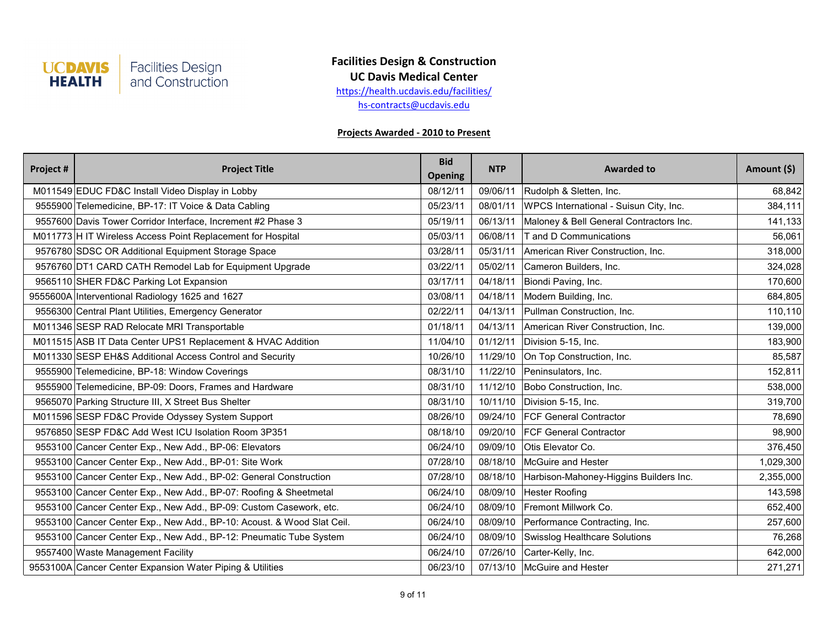

### **Facilities Design & Construction UC Davis Medical Center**

[h](http://health.ucdavis.edu/facilities/)ttps://health.ucdavis.edu/facilities/

[h](mailto:hs-contracts@ucdavis.edu)s-contracts@ucdavis.edu

| Project # | <b>Project Title</b>                                                   | <b>Bid</b><br><b>Opening</b> | <b>NTP</b> | <b>Awarded to</b>                       | Amount (\$) |
|-----------|------------------------------------------------------------------------|------------------------------|------------|-----------------------------------------|-------------|
|           | M011549 EDUC FD&C Install Video Display in Lobby                       | 08/12/11                     | 09/06/11   | Rudolph & Sletten, Inc.                 | 68,842      |
|           | 9555900 Telemedicine, BP-17: IT Voice & Data Cabling                   | 05/23/11                     | 08/01/11   | WPCS International - Suisun City, Inc.  | 384,111     |
|           | 9557600 Davis Tower Corridor Interface, Increment #2 Phase 3           | 05/19/11                     | 06/13/11   | Maloney & Bell General Contractors Inc. | 141,133     |
|           | M011773 H IT Wireless Access Point Replacement for Hospital            | 05/03/11                     | 06/08/11   | T and D Communications                  | 56,061      |
|           | 9576780 SDSC OR Additional Equipment Storage Space                     | 03/28/11                     | 05/31/11   | American River Construction, Inc.       | 318,000     |
|           | 9576760 DT1 CARD CATH Remodel Lab for Equipment Upgrade                | 03/22/11                     | 05/02/11   | Cameron Builders, Inc.                  | 324,028     |
|           | 9565110 SHER FD&C Parking Lot Expansion                                | 03/17/11                     | 04/18/11   | Biondi Paving, Inc.                     | 170,600     |
|           | 9555600A Interventional Radiology 1625 and 1627                        | 03/08/11                     | 04/18/11   | Modern Building, Inc.                   | 684,805     |
|           | 9556300 Central Plant Utilities, Emergency Generator                   | 02/22/11                     | 04/13/11   | Pullman Construction, Inc.              | 110,110     |
|           | M011346 SESP RAD Relocate MRI Transportable                            | 01/18/11                     | 04/13/11   | American River Construction, Inc.       | 139,000     |
|           | M011515 ASB IT Data Center UPS1 Replacement & HVAC Addition            | 11/04/10                     | 01/12/11   | Division 5-15, Inc.                     | 183,900     |
|           | M011330 SESP EH&S Additional Access Control and Security               | 10/26/10                     | 11/29/10   | On Top Construction, Inc.               | 85,587      |
|           | 9555900 Telemedicine, BP-18: Window Coverings                          | 08/31/10                     | 11/22/10   | Peninsulators, Inc.                     | 152,811     |
|           | 9555900 Telemedicine, BP-09: Doors, Frames and Hardware                | 08/31/10                     | 11/12/10   | Bobo Construction, Inc.                 | 538,000     |
|           | 9565070 Parking Structure III, X Street Bus Shelter                    | 08/31/10                     | 10/11/10   | Division 5-15, Inc.                     | 319,700     |
|           | M011596 SESP FD&C Provide Odyssey System Support                       | 08/26/10                     |            | 09/24/10   FCF General Contractor       | 78,690      |
|           | 9576850 SESP FD&C Add West ICU Isolation Room 3P351                    | 08/18/10                     | 09/20/10   | <b>FCF General Contractor</b>           | 98,900      |
|           | 9553100 Cancer Center Exp., New Add., BP-06: Elevators                 | 06/24/10                     | 09/09/10   | Otis Elevator Co.                       | 376,450     |
|           | 9553100 Cancer Center Exp., New Add., BP-01: Site Work                 | 07/28/10                     | 08/18/10   | McGuire and Hester                      | 1,029,300   |
|           | 9553100 Cancer Center Exp., New Add., BP-02: General Construction      | 07/28/10                     | 08/18/10   | Harbison-Mahoney-Higgins Builders Inc.  | 2,355,000   |
|           | 9553100 Cancer Center Exp., New Add., BP-07: Roofing & Sheetmetal      | 06/24/10                     | 08/09/10   | <b>Hester Roofing</b>                   | 143,598     |
|           | 9553100 Cancer Center Exp., New Add., BP-09: Custom Casework, etc.     | 06/24/10                     | 08/09/10   | Fremont Millwork Co.                    | 652,400     |
|           | 9553100 Cancer Center Exp., New Add., BP-10: Acoust. & Wood Slat Ceil. | 06/24/10                     | 08/09/10   | Performance Contracting, Inc.           | 257,600     |
|           | 9553100 Cancer Center Exp., New Add., BP-12: Pneumatic Tube System     | 06/24/10                     | 08/09/10   | Swisslog Healthcare Solutions           | 76,268      |
|           | 9557400 Waste Management Facility                                      | 06/24/10                     | 07/26/10   | Carter-Kelly, Inc.                      | 642,000     |
|           | 9553100A Cancer Center Expansion Water Piping & Utilities              | 06/23/10                     |            | 07/13/10   McGuire and Hester           | 271,271     |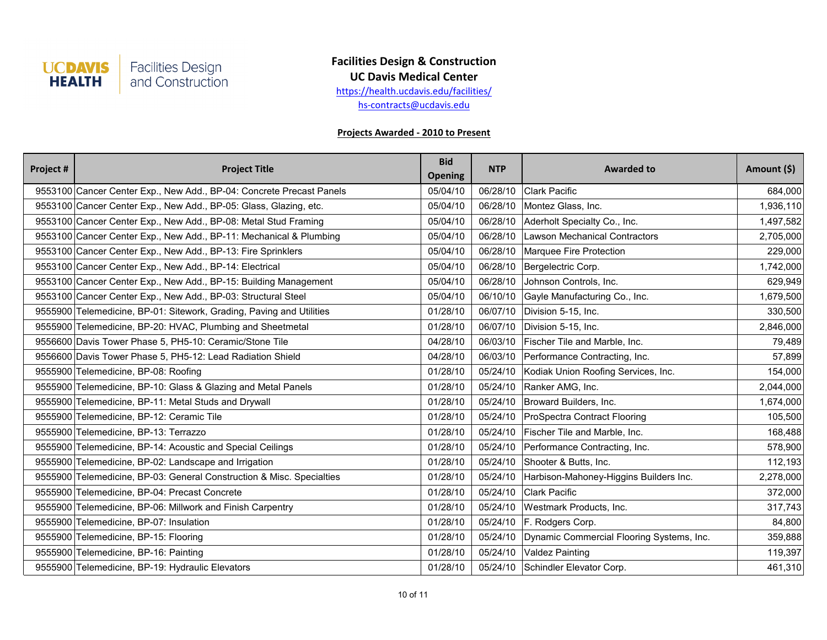

**UC Davis Medical Center**

[h](http://health.ucdavis.edu/facilities/)ttps://health.ucdavis.edu/facilities/

[h](mailto:hs-contracts@ucdavis.edu)s-contracts@ucdavis.edu

| Project # | <b>Project Title</b>                                                  | <b>Bid</b><br><b>Opening</b> | <b>NTP</b> | <b>Awarded to</b>                            | Amount (\$) |
|-----------|-----------------------------------------------------------------------|------------------------------|------------|----------------------------------------------|-------------|
|           | 9553100 Cancer Center Exp., New Add., BP-04: Concrete Precast Panels  | 05/04/10                     | 06/28/10   | <b>Clark Pacific</b>                         | 684,000     |
|           | 9553100 Cancer Center Exp., New Add., BP-05: Glass, Glazing, etc.     | 05/04/10                     | 06/28/10   | Montez Glass, Inc.                           | 1,936,110   |
|           | 9553100 Cancer Center Exp., New Add., BP-08: Metal Stud Framing       | 05/04/10                     | 06/28/10   | Aderholt Specialty Co., Inc.                 | 1,497,582   |
|           | 9553100 Cancer Center Exp., New Add., BP-11: Mechanical & Plumbing    | 05/04/10                     | 06/28/10   | Lawson Mechanical Contractors                | 2,705,000   |
|           | 9553100 Cancer Center Exp., New Add., BP-13: Fire Sprinklers          | 05/04/10                     | 06/28/10   | Marquee Fire Protection                      | 229,000     |
|           | 9553100 Cancer Center Exp., New Add., BP-14: Electrical               | 05/04/10                     | 06/28/10   | Bergelectric Corp.                           | 1,742,000   |
|           | 9553100 Cancer Center Exp., New Add., BP-15: Building Management      | 05/04/10                     | 06/28/10   | Johnson Controls, Inc.                       | 629,949     |
|           | 9553100 Cancer Center Exp., New Add., BP-03: Structural Steel         | 05/04/10                     | 06/10/10   | Gayle Manufacturing Co., Inc.                | 1,679,500   |
|           | 9555900 Telemedicine, BP-01: Sitework, Grading, Paving and Utilities  | 01/28/10                     | 06/07/10   | Division 5-15, Inc.                          | 330,500     |
|           | 9555900 Telemedicine, BP-20: HVAC, Plumbing and Sheetmetal            | 01/28/10                     | 06/07/10   | Division 5-15, Inc.                          | 2,846,000   |
|           | 9556600 Davis Tower Phase 5, PH5-10: Ceramic/Stone Tile               | 04/28/10                     | 06/03/10   | Fischer Tile and Marble, Inc.                | 79,489      |
|           | 9556600 Davis Tower Phase 5, PH5-12: Lead Radiation Shield            | 04/28/10                     | 06/03/10   | Performance Contracting, Inc.                | 57,899      |
|           | 9555900 Telemedicine, BP-08: Roofing                                  | 01/28/10                     |            | 05/24/10 Kodiak Union Roofing Services, Inc. | 154,000     |
|           | 9555900 Telemedicine, BP-10: Glass & Glazing and Metal Panels         | 01/28/10                     | 05/24/10   | Ranker AMG, Inc.                             | 2,044,000   |
|           | 9555900 Telemedicine, BP-11: Metal Studs and Drywall                  | 01/28/10                     | 05/24/10   | Broward Builders, Inc.                       | 1,674,000   |
|           | 9555900 Telemedicine, BP-12: Ceramic Tile                             | 01/28/10                     |            | 05/24/10 ProSpectra Contract Flooring        | 105,500     |
|           | 9555900 Telemedicine, BP-13: Terrazzo                                 | 01/28/10                     | 05/24/10   | Fischer Tile and Marble, Inc.                | 168,488     |
|           | 9555900 Telemedicine, BP-14: Acoustic and Special Ceilings            | 01/28/10                     | 05/24/10   | Performance Contracting, Inc.                | 578,900     |
|           | 9555900 Telemedicine, BP-02: Landscape and Irrigation                 | 01/28/10                     | 05/24/10   | Shooter & Butts, Inc.                        | 112,193     |
|           | 9555900 Telemedicine, BP-03: General Construction & Misc. Specialties | 01/28/10                     | 05/24/10   | Harbison-Mahoney-Higgins Builders Inc.       | 2,278,000   |
|           | 9555900 Telemedicine, BP-04: Precast Concrete                         | 01/28/10                     | 05/24/10   | <b>Clark Pacific</b>                         | 372,000     |
|           | 9555900 Telemedicine, BP-06: Millwork and Finish Carpentry            | 01/28/10                     | 05/24/10   | Westmark Products, Inc.                      | 317,743     |
|           | 9555900 Telemedicine, BP-07: Insulation                               | 01/28/10                     | 05/24/10   | F. Rodgers Corp.                             | 84,800      |
|           | 9555900 Telemedicine, BP-15: Flooring                                 | 01/28/10                     | 05/24/10   | Dynamic Commercial Flooring Systems, Inc.    | 359,888     |
|           | 9555900 Telemedicine, BP-16: Painting                                 | 01/28/10                     | 05/24/10   | <b>Valdez Painting</b>                       | 119,397     |
|           | 9555900 Telemedicine, BP-19: Hydraulic Elevators                      | 01/28/10                     |            | 05/24/10 Schindler Elevator Corp.            | 461,310     |